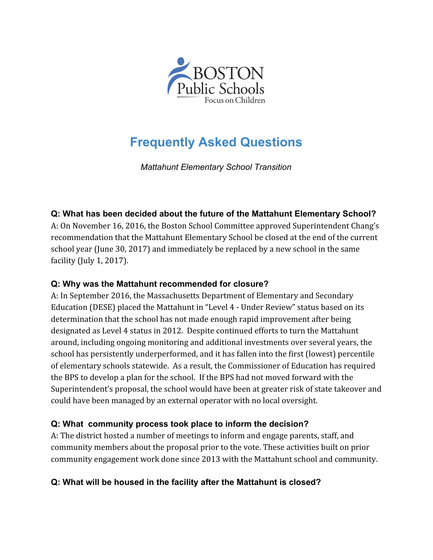

# **Frequently Asked Questions**

*Mattahunt Elementary School Transition*

### **Q: What has been decided about the future of the Mattahunt Elementary School?**

A: On November 16, 2016, the Boston School Committee approved Superintendent Chang's recommendation that the Mattahunt Elementary School be closed at the end of the current school year (June 30, 2017) and immediately be replaced by a new school in the same facility (July 1, 2017).

### **Q: Why was the Mattahunt recommended for closure?**

A: In September 2016, the Massachusetts Department of Elementary and Secondary Education (DESE) placed the Mattahunt in "Level 4 - Under Review" status based on its determination that the school has not made enough rapid improvement after being designated as Level 4 status in 2012. Despite continued efforts to turn the Mattahunt around, including ongoing monitoring and additional investments over several years, the school has persistently underperformed, and it has fallen into the first (lowest) percentile of elementary schools statewide. As a result, the Commissioner of Education has required the BPS to develop a plan for the school. If the BPS had not moved forward with the Superintendent's proposal, the school would have been at greater risk of state takeover and could have been managed by an external operator with no local oversight.

### **Q: What community process took place to inform the decision?**

A: The district hosted a number of meetings to inform and engage parents, staff, and community members about the proposal prior to the vote. These activities built on prior community engagement work done since 2013 with the Mattahunt school and community.

### **Q: What will be housed in the facility after the Mattahunt is closed?**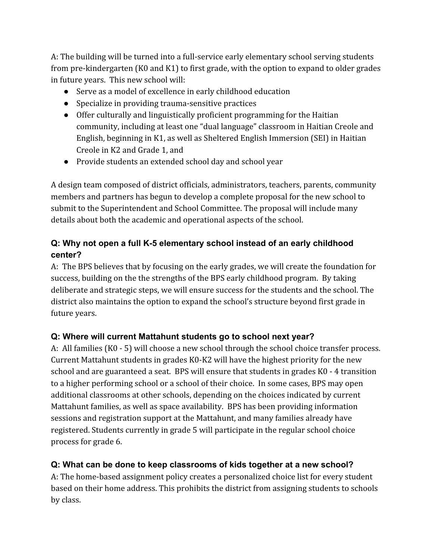A: The building will be turned into a full-service early elementary school serving students from pre-kindergarten (K0 and K1) to first grade, with the option to expand to older grades in future years. This new school will:

- Serve as a model of excellence in early childhood education
- Specialize in providing trauma-sensitive practices
- Offer culturally and linguistically proficient programming for the Haitian community, including at least one "dual language" classroom in Haitian Creole and English, beginning in K1, as well as Sheltered English Immersion (SEI) in Haitian Creole in K2 and Grade 1, and
- Provide students an extended school day and school year

A design team composed of district officials, administrators, teachers, parents, community members and partners has begun to develop a complete proposal for the new school to submit to the Superintendent and School Committee. The proposal will include many details about both the academic and operational aspects of the school.

# **Q: Why not open a full K-5 elementary school instead of an early childhood center?**

A: The BPS believes that by focusing on the early grades, we will create the foundation for success, building on the the strengths of the BPS early childhood program. By taking deliberate and strategic steps, we will ensure success for the students and the school. The district also maintains the option to expand the school's structure beyond first grade in future years.

# **Q: Where will current Mattahunt students go to school next year?**

A: All families (K0 - 5) will choose a new school through the school choice transfer process. Current Mattahunt students in grades K0-K2 will have the highest priority for the new school and are guaranteed a seat. BPS will ensure that students in grades K0 - 4 transition to a higher performing school or a school of their choice. In some cases, BPS may open additional classrooms at other schools, depending on the choices indicated by current Mattahunt families, as well as space availability. BPS has been providing information sessions and registration support at the Mattahunt, and many families already have registered. Students currently in grade 5 will participate in the regular school choice process for grade 6.

# **Q: What can be done to keep classrooms of kids together at a new school?**

A: The home-based assignment policy creates a personalized choice list for every student based on their home address. This prohibits the district from assigning students to schools by class.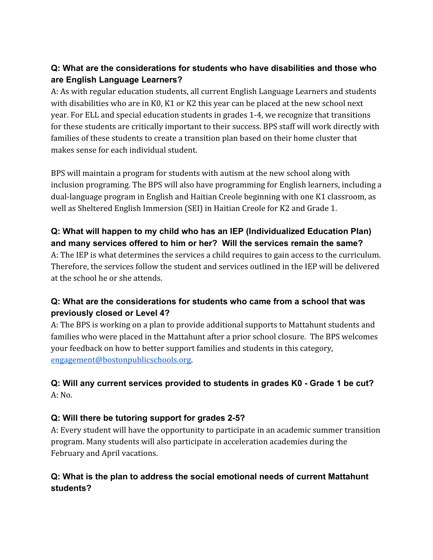## **Q: What are the considerations for students who have disabilities and those who are English Language Learners?**

A: As with regular education students, all current English Language Learners and students with disabilities who are in K0, K1 or K2 this year can be placed at the new school next year. For ELL and special education students in grades 1-4, we recognize that transitions for these students are critically important to their success. BPS staff will work directly with families of these students to create a transition plan based on their home cluster that makes sense for each individual student.

BPS will maintain a program for students with autism at the new school along with inclusion programing. The BPS will also have programming for English learners, including a dual-language program in English and Haitian Creole beginning with one K1 classroom, as well as Sheltered English Immersion (SEI) in Haitian Creole for K2 and Grade 1.

## **Q: What will happen to my child who has an IEP (Individualized Education Plan) and many services offered to him or her? Will the services remain the same?**

A: The IEP is what determines the services a child requires to gain access to the curriculum. Therefore, the services follow the student and services outlined in the IEP will be delivered at the school he or she attends.

## **Q: What are the considerations for students who came from a school that was previously closed or Level 4?**

A: The BPS is working on a plan to provide additional supports to Mattahunt students and families who were placed in the Mattahunt after a prior school closure. The BPS welcomes your feedback on how to better support families and students in this category, [engagement@bostonpublicschools.org.](mailto:engagement@bostonpublicschools.org)

# **Q: Will any current services provided to students in grades K0 - Grade 1 be cut?** A: No.

### **Q: Will there be tutoring support for grades 2-5?**

A: Every student will have the opportunity to participate in an academic summer transition program. Many students will also participate in acceleration academies during the February and April vacations.

## **Q: What is the plan to address the social emotional needs of current Mattahunt students?**